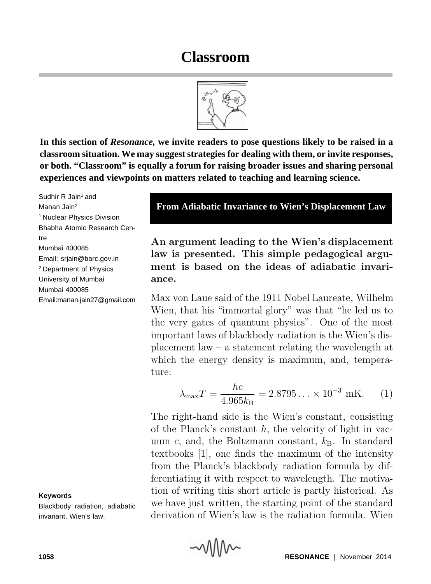**In this section of** *Resonance,* **we invite readers to pose questions likely to be raised in a classroom situation. We may suggest strategies for dealing with them, or invite responses, or both. "Classroom" is equally a forum for raising broader issues and sharing personal experiences and viewpoints on matters related to teaching and learning science.**

Sudhir R Jain<sup>1</sup> and Manan Jain2 1 Nuclear Physics Division Bhabha Atomic Research Centre Mumbai 400085 Email: srjain@barc.gov.in 2 Department of Physics University of Mumbai Mumbai 400085 Email:manan.jain27@gmail.com

## **Keywords**

Blackbody radiation, adiabatic invariant, Wien's law.

**An argument leading to the Wien's displacement law is presented. This simple pedagogical argument is based on the ideas of adiabatic invariance.**

**From Adiabatic Invariance to Wien's Displacement Law**

Max von Laue said of the 1911 Nobel Laureate, Wilhelm Wien, that his "immortal glory" was that "he led us to the very gates of quantum physics". One of the most important laws of blackbody radiation is the Wien's displacement law – a statement relating the wavelength at which the energy density is maximum, and, temperature:

> $\lambda_{\max}T = \frac{hc}{4.065}$  $\frac{hc}{4.965k_{\text{B}}}$  = 2.8795 ... × 10<sup>-3</sup> mK. (1)

The right-hand side is the Wien's constant, consisting of the Planck's constant *h*, the velocity of light in vacuum  $c$ , and, the Boltzmann constant,  $k_B$ . In standard textbooks [1], one finds the maximum of the intensity from the Planck's blackbody radiation formula by differentiating it with respect to wavelength. The motivation of writing this short article is partly historical. As we have just written, the starting point of the standard derivation of Wien's law is the radiation formula. Wien

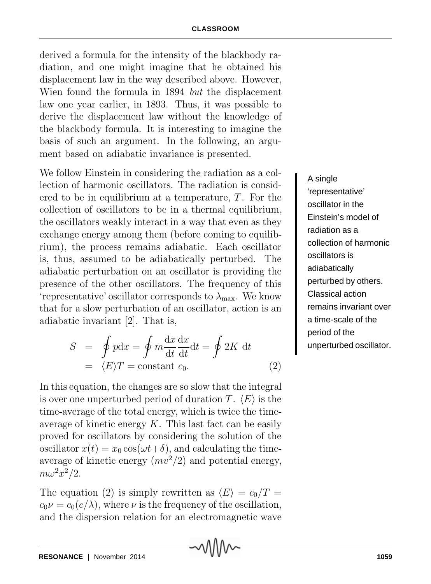derived a formula for the intensity of the blackbody radiation, and one might imagine that he obtained his displacement law in the way described above. However, Wien found the formula in 1894 *but* the displacement law one year earlier, in 1893. Thus, it was possible to derive the displacement law without the knowledge of the blackbody formula. It is interesting to imagine the basis of such an argument. In the following, an argument based on adiabatic invariance is presented.

We follow Einstein in considering the radiation as a collection of harmonic oscillators. The radiation is considered to be in equilibrium at a temperature, *T*. For the collection of oscillators to be in a thermal equilibrium, the oscillators weakly interact in a way that even as they exchange energy among them (before coming to equilibrium), the process remains adiabatic. Each oscillator is, thus, assumed to be adiabatically perturbed. The adiabatic perturbation on an oscillator is providing the presence of the other oscillators. The frequency of this 'representative' oscillator corresponds to  $\lambda_{\text{max}}$ . We know that for a slow perturbation of an oscillator, action is an adiabatic invariant [2]. That is,

$$
S = \oint pdx = \oint m \frac{dx}{dt} \frac{dx}{dt} dt = \oint 2K dt
$$
  
=  $\langle E \rangle T = \text{constant } c_0.$  (2)

In this equation, the changes are so slow that the integral is over one unperturbed period of duration *T*.  $\langle E \rangle$  is the time-average of the total energy, which is twice the timeaverage of kinetic energy *K*. This last fact can be easily proved for oscillators by considering the solution of the oscillator  $x(t) = x_0 \cos(\omega t + \delta)$ , and calculating the timeaverage of kinetic energy  $(mv^2/2)$  and potential energy,  $m\omega^2x^2/2$ .

The equation (2) is simply rewritten as  $\langle E \rangle = c_0/T =$  $c_0 \nu = c_0(c/\lambda)$ , where  $\nu$  is the frequency of the oscillation, and the dispersion relation for an electromagnetic wave A single 'representative' oscillator in the Einstein's model of radiation as a collection of harmonic oscillators is adiabatically perturbed by others. Classical action remains invariant over a time-scale of the period of the unperturbed oscillator.